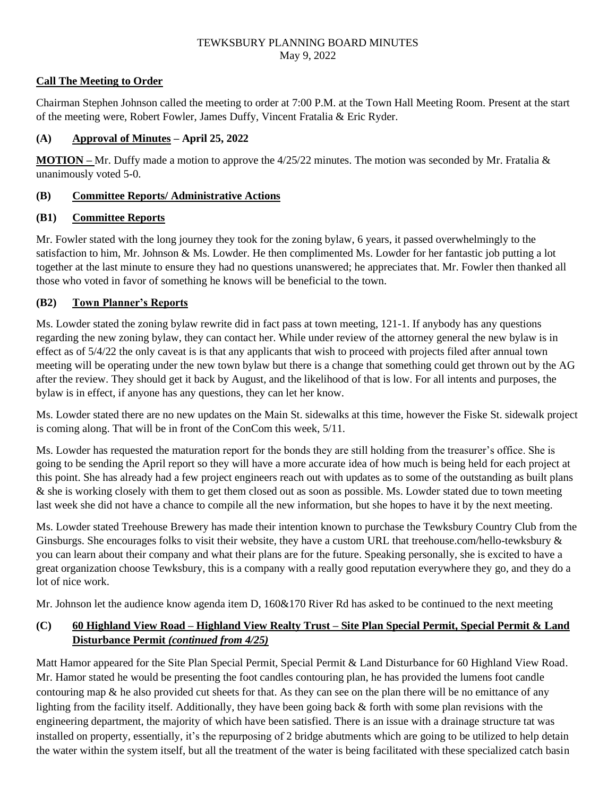## **Call The Meeting to Order**

Chairman Stephen Johnson called the meeting to order at 7:00 P.M. at the Town Hall Meeting Room. Present at the start of the meeting were, Robert Fowler, James Duffy, Vincent Fratalia & Eric Ryder.

# **(A) Approval of Minutes – April 25, 2022**

**MOTION –** Mr. Duffy made a motion to approve the 4/25/22 minutes. The motion was seconded by Mr. Fratalia & unanimously voted 5-0.

## **(B) Committee Reports/ Administrative Actions**

# **(B1) Committee Reports**

Mr. Fowler stated with the long journey they took for the zoning bylaw, 6 years, it passed overwhelmingly to the satisfaction to him, Mr. Johnson & Ms. Lowder. He then complimented Ms. Lowder for her fantastic job putting a lot together at the last minute to ensure they had no questions unanswered; he appreciates that. Mr. Fowler then thanked all those who voted in favor of something he knows will be beneficial to the town.

# **(B2) Town Planner's Reports**

Ms. Lowder stated the zoning bylaw rewrite did in fact pass at town meeting, 121-1. If anybody has any questions regarding the new zoning bylaw, they can contact her. While under review of the attorney general the new bylaw is in effect as of 5/4/22 the only caveat is is that any applicants that wish to proceed with projects filed after annual town meeting will be operating under the new town bylaw but there is a change that something could get thrown out by the AG after the review. They should get it back by August, and the likelihood of that is low. For all intents and purposes, the bylaw is in effect, if anyone has any questions, they can let her know.

Ms. Lowder stated there are no new updates on the Main St. sidewalks at this time, however the Fiske St. sidewalk project is coming along. That will be in front of the ConCom this week, 5/11.

Ms. Lowder has requested the maturation report for the bonds they are still holding from the treasurer's office. She is going to be sending the April report so they will have a more accurate idea of how much is being held for each project at this point. She has already had a few project engineers reach out with updates as to some of the outstanding as built plans & she is working closely with them to get them closed out as soon as possible. Ms. Lowder stated due to town meeting last week she did not have a chance to compile all the new information, but she hopes to have it by the next meeting.

Ms. Lowder stated Treehouse Brewery has made their intention known to purchase the Tewksbury Country Club from the Ginsburgs. She encourages folks to visit their website, they have a custom URL that treehouse.com/hello-tewksbury & you can learn about their company and what their plans are for the future. Speaking personally, she is excited to have a great organization choose Tewksbury, this is a company with a really good reputation everywhere they go, and they do a lot of nice work.

Mr. Johnson let the audience know agenda item D, 160&170 River Rd has asked to be continued to the next meeting

# **(C) 60 Highland View Road – Highland View Realty Trust – Site Plan Special Permit, Special Permit & Land Disturbance Permit** *(continued from 4/25)*

Matt Hamor appeared for the Site Plan Special Permit, Special Permit & Land Disturbance for 60 Highland View Road. Mr. Hamor stated he would be presenting the foot candles contouring plan, he has provided the lumens foot candle contouring map & he also provided cut sheets for that. As they can see on the plan there will be no emittance of any lighting from the facility itself. Additionally, they have been going back & forth with some plan revisions with the engineering department, the majority of which have been satisfied. There is an issue with a drainage structure tat was installed on property, essentially, it's the repurposing of 2 bridge abutments which are going to be utilized to help detain the water within the system itself, but all the treatment of the water is being facilitated with these specialized catch basin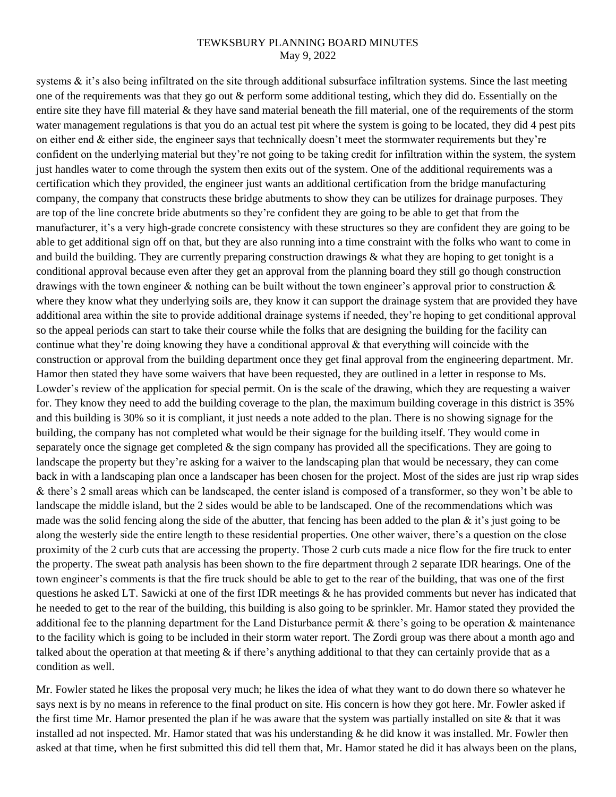systems  $\&$  it's also being infiltrated on the site through additional subsurface infiltration systems. Since the last meeting one of the requirements was that they go out & perform some additional testing, which they did do. Essentially on the entire site they have fill material & they have sand material beneath the fill material, one of the requirements of the storm water management regulations is that you do an actual test pit where the system is going to be located, they did 4 pest pits on either end & either side, the engineer says that technically doesn't meet the stormwater requirements but they're confident on the underlying material but they're not going to be taking credit for infiltration within the system, the system just handles water to come through the system then exits out of the system. One of the additional requirements was a certification which they provided, the engineer just wants an additional certification from the bridge manufacturing company, the company that constructs these bridge abutments to show they can be utilizes for drainage purposes. They are top of the line concrete bride abutments so they're confident they are going to be able to get that from the manufacturer, it's a very high-grade concrete consistency with these structures so they are confident they are going to be able to get additional sign off on that, but they are also running into a time constraint with the folks who want to come in and build the building. They are currently preparing construction drawings & what they are hoping to get tonight is a conditional approval because even after they get an approval from the planning board they still go though construction drawings with the town engineer  $\&$  nothing can be built without the town engineer's approval prior to construction  $\&$ where they know what they underlying soils are, they know it can support the drainage system that are provided they have additional area within the site to provide additional drainage systems if needed, they're hoping to get conditional approval so the appeal periods can start to take their course while the folks that are designing the building for the facility can continue what they're doing knowing they have a conditional approval & that everything will coincide with the construction or approval from the building department once they get final approval from the engineering department. Mr. Hamor then stated they have some waivers that have been requested, they are outlined in a letter in response to Ms. Lowder's review of the application for special permit. On is the scale of the drawing, which they are requesting a waiver for. They know they need to add the building coverage to the plan, the maximum building coverage in this district is 35% and this building is 30% so it is compliant, it just needs a note added to the plan. There is no showing signage for the building, the company has not completed what would be their signage for the building itself. They would come in separately once the signage get completed  $\&$  the sign company has provided all the specifications. They are going to landscape the property but they're asking for a waiver to the landscaping plan that would be necessary, they can come back in with a landscaping plan once a landscaper has been chosen for the project. Most of the sides are just rip wrap sides & there's 2 small areas which can be landscaped, the center island is composed of a transformer, so they won't be able to landscape the middle island, but the 2 sides would be able to be landscaped. One of the recommendations which was made was the solid fencing along the side of the abutter, that fencing has been added to the plan  $\&$  it's just going to be along the westerly side the entire length to these residential properties. One other waiver, there's a question on the close proximity of the 2 curb cuts that are accessing the property. Those 2 curb cuts made a nice flow for the fire truck to enter the property. The sweat path analysis has been shown to the fire department through 2 separate IDR hearings. One of the town engineer's comments is that the fire truck should be able to get to the rear of the building, that was one of the first questions he asked LT. Sawicki at one of the first IDR meetings & he has provided comments but never has indicated that he needed to get to the rear of the building, this building is also going to be sprinkler. Mr. Hamor stated they provided the additional fee to the planning department for the Land Disturbance permit  $\&$  there's going to be operation  $\&$  maintenance to the facility which is going to be included in their storm water report. The Zordi group was there about a month ago and talked about the operation at that meeting  $\&$  if there's anything additional to that they can certainly provide that as a condition as well.

Mr. Fowler stated he likes the proposal very much; he likes the idea of what they want to do down there so whatever he says next is by no means in reference to the final product on site. His concern is how they got here. Mr. Fowler asked if the first time Mr. Hamor presented the plan if he was aware that the system was partially installed on site  $\&$  that it was installed ad not inspected. Mr. Hamor stated that was his understanding & he did know it was installed. Mr. Fowler then asked at that time, when he first submitted this did tell them that, Mr. Hamor stated he did it has always been on the plans,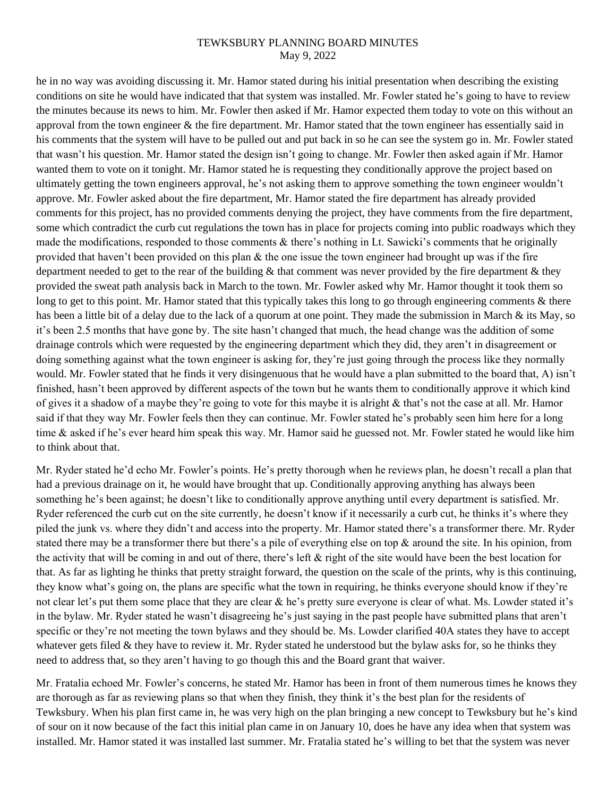he in no way was avoiding discussing it. Mr. Hamor stated during his initial presentation when describing the existing conditions on site he would have indicated that that system was installed. Mr. Fowler stated he's going to have to review the minutes because its news to him. Mr. Fowler then asked if Mr. Hamor expected them today to vote on this without an approval from the town engineer  $\&$  the fire department. Mr. Hamor stated that the town engineer has essentially said in his comments that the system will have to be pulled out and put back in so he can see the system go in. Mr. Fowler stated that wasn't his question. Mr. Hamor stated the design isn't going to change. Mr. Fowler then asked again if Mr. Hamor wanted them to vote on it tonight. Mr. Hamor stated he is requesting they conditionally approve the project based on ultimately getting the town engineers approval, he's not asking them to approve something the town engineer wouldn't approve. Mr. Fowler asked about the fire department, Mr. Hamor stated the fire department has already provided comments for this project, has no provided comments denying the project, they have comments from the fire department, some which contradict the curb cut regulations the town has in place for projects coming into public roadways which they made the modifications, responded to those comments & there's nothing in Lt. Sawicki's comments that he originally provided that haven't been provided on this plan  $\&$  the one issue the town engineer had brought up was if the fire department needed to get to the rear of the building  $\&$  that comment was never provided by the fire department  $\&$  they provided the sweat path analysis back in March to the town. Mr. Fowler asked why Mr. Hamor thought it took them so long to get to this point. Mr. Hamor stated that this typically takes this long to go through engineering comments & there has been a little bit of a delay due to the lack of a quorum at one point. They made the submission in March & its May, so it's been 2.5 months that have gone by. The site hasn't changed that much, the head change was the addition of some drainage controls which were requested by the engineering department which they did, they aren't in disagreement or doing something against what the town engineer is asking for, they're just going through the process like they normally would. Mr. Fowler stated that he finds it very disingenuous that he would have a plan submitted to the board that, A) isn't finished, hasn't been approved by different aspects of the town but he wants them to conditionally approve it which kind of gives it a shadow of a maybe they're going to vote for this maybe it is alright  $\&$  that's not the case at all. Mr. Hamor said if that they way Mr. Fowler feels then they can continue. Mr. Fowler stated he's probably seen him here for a long time & asked if he's ever heard him speak this way. Mr. Hamor said he guessed not. Mr. Fowler stated he would like him to think about that.

Mr. Ryder stated he'd echo Mr. Fowler's points. He's pretty thorough when he reviews plan, he doesn't recall a plan that had a previous drainage on it, he would have brought that up. Conditionally approving anything has always been something he's been against; he doesn't like to conditionally approve anything until every department is satisfied. Mr. Ryder referenced the curb cut on the site currently, he doesn't know if it necessarily a curb cut, he thinks it's where they piled the junk vs. where they didn't and access into the property. Mr. Hamor stated there's a transformer there. Mr. Ryder stated there may be a transformer there but there's a pile of everything else on top & around the site. In his opinion, from the activity that will be coming in and out of there, there's left & right of the site would have been the best location for that. As far as lighting he thinks that pretty straight forward, the question on the scale of the prints, why is this continuing, they know what's going on, the plans are specific what the town in requiring, he thinks everyone should know if they're not clear let's put them some place that they are clear & he's pretty sure everyone is clear of what. Ms. Lowder stated it's in the bylaw. Mr. Ryder stated he wasn't disagreeing he's just saying in the past people have submitted plans that aren't specific or they're not meeting the town bylaws and they should be. Ms. Lowder clarified 40A states they have to accept whatever gets filed  $\&$  they have to review it. Mr. Ryder stated he understood but the bylaw asks for, so he thinks they need to address that, so they aren't having to go though this and the Board grant that waiver.

Mr. Fratalia echoed Mr. Fowler's concerns, he stated Mr. Hamor has been in front of them numerous times he knows they are thorough as far as reviewing plans so that when they finish, they think it's the best plan for the residents of Tewksbury. When his plan first came in, he was very high on the plan bringing a new concept to Tewksbury but he's kind of sour on it now because of the fact this initial plan came in on January 10, does he have any idea when that system was installed. Mr. Hamor stated it was installed last summer. Mr. Fratalia stated he's willing to bet that the system was never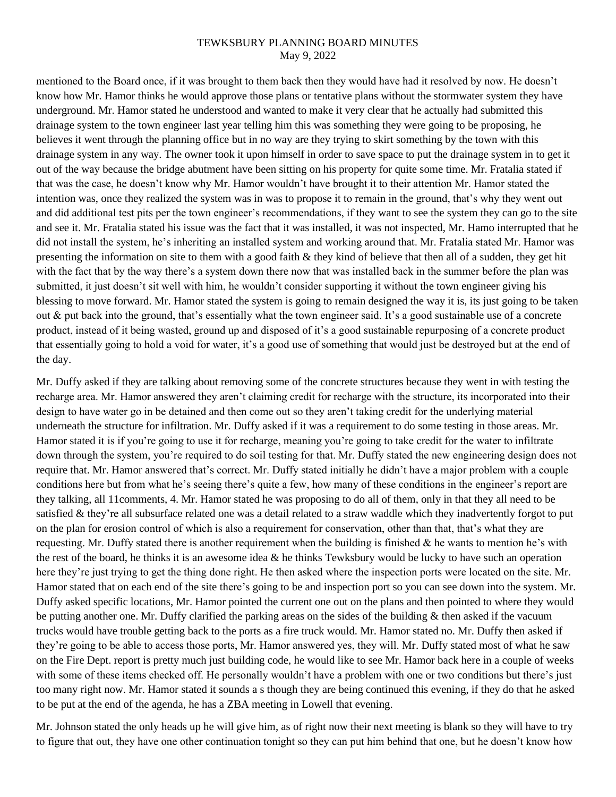mentioned to the Board once, if it was brought to them back then they would have had it resolved by now. He doesn't know how Mr. Hamor thinks he would approve those plans or tentative plans without the stormwater system they have underground. Mr. Hamor stated he understood and wanted to make it very clear that he actually had submitted this drainage system to the town engineer last year telling him this was something they were going to be proposing, he believes it went through the planning office but in no way are they trying to skirt something by the town with this drainage system in any way. The owner took it upon himself in order to save space to put the drainage system in to get it out of the way because the bridge abutment have been sitting on his property for quite some time. Mr. Fratalia stated if that was the case, he doesn't know why Mr. Hamor wouldn't have brought it to their attention Mr. Hamor stated the intention was, once they realized the system was in was to propose it to remain in the ground, that's why they went out and did additional test pits per the town engineer's recommendations, if they want to see the system they can go to the site and see it. Mr. Fratalia stated his issue was the fact that it was installed, it was not inspected, Mr. Hamo interrupted that he did not install the system, he's inheriting an installed system and working around that. Mr. Fratalia stated Mr. Hamor was presenting the information on site to them with a good faith & they kind of believe that then all of a sudden, they get hit with the fact that by the way there's a system down there now that was installed back in the summer before the plan was submitted, it just doesn't sit well with him, he wouldn't consider supporting it without the town engineer giving his blessing to move forward. Mr. Hamor stated the system is going to remain designed the way it is, its just going to be taken out  $\&$  put back into the ground, that's essentially what the town engineer said. It's a good sustainable use of a concrete product, instead of it being wasted, ground up and disposed of it's a good sustainable repurposing of a concrete product that essentially going to hold a void for water, it's a good use of something that would just be destroyed but at the end of the day.

Mr. Duffy asked if they are talking about removing some of the concrete structures because they went in with testing the recharge area. Mr. Hamor answered they aren't claiming credit for recharge with the structure, its incorporated into their design to have water go in be detained and then come out so they aren't taking credit for the underlying material underneath the structure for infiltration. Mr. Duffy asked if it was a requirement to do some testing in those areas. Mr. Hamor stated it is if you're going to use it for recharge, meaning you're going to take credit for the water to infiltrate down through the system, you're required to do soil testing for that. Mr. Duffy stated the new engineering design does not require that. Mr. Hamor answered that's correct. Mr. Duffy stated initially he didn't have a major problem with a couple conditions here but from what he's seeing there's quite a few, how many of these conditions in the engineer's report are they talking, all 11comments, 4. Mr. Hamor stated he was proposing to do all of them, only in that they all need to be satisfied & they're all subsurface related one was a detail related to a straw waddle which they inadvertently forgot to put on the plan for erosion control of which is also a requirement for conservation, other than that, that's what they are requesting. Mr. Duffy stated there is another requirement when the building is finished & he wants to mention he's with the rest of the board, he thinks it is an awesome idea  $\&$  he thinks Tewksbury would be lucky to have such an operation here they're just trying to get the thing done right. He then asked where the inspection ports were located on the site. Mr. Hamor stated that on each end of the site there's going to be and inspection port so you can see down into the system. Mr. Duffy asked specific locations, Mr. Hamor pointed the current one out on the plans and then pointed to where they would be putting another one. Mr. Duffy clarified the parking areas on the sides of the building  $\&$  then asked if the vacuum trucks would have trouble getting back to the ports as a fire truck would. Mr. Hamor stated no. Mr. Duffy then asked if they're going to be able to access those ports, Mr. Hamor answered yes, they will. Mr. Duffy stated most of what he saw on the Fire Dept. report is pretty much just building code, he would like to see Mr. Hamor back here in a couple of weeks with some of these items checked off. He personally wouldn't have a problem with one or two conditions but there's just too many right now. Mr. Hamor stated it sounds a s though they are being continued this evening, if they do that he asked to be put at the end of the agenda, he has a ZBA meeting in Lowell that evening.

Mr. Johnson stated the only heads up he will give him, as of right now their next meeting is blank so they will have to try to figure that out, they have one other continuation tonight so they can put him behind that one, but he doesn't know how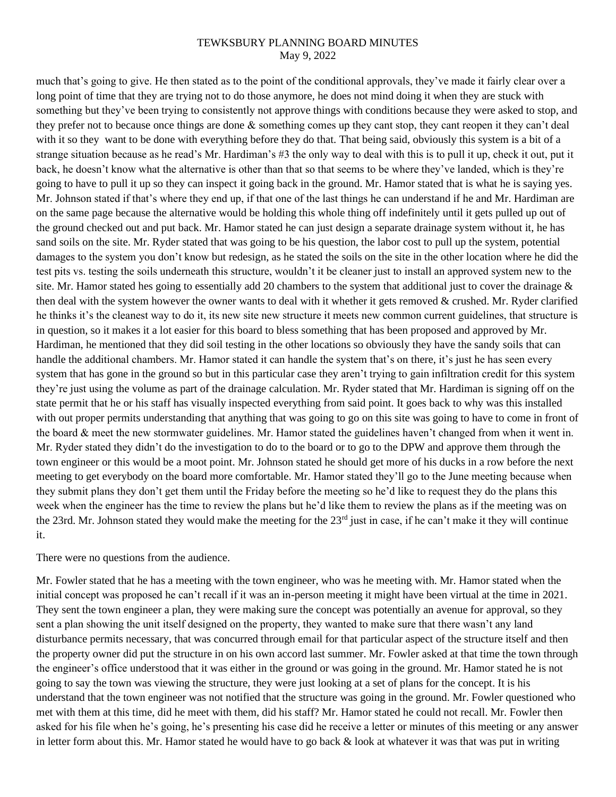much that's going to give. He then stated as to the point of the conditional approvals, they've made it fairly clear over a long point of time that they are trying not to do those anymore, he does not mind doing it when they are stuck with something but they've been trying to consistently not approve things with conditions because they were asked to stop, and they prefer not to because once things are done & something comes up they cant stop, they cant reopen it they can't deal with it so they want to be done with everything before they do that. That being said, obviously this system is a bit of a strange situation because as he read's Mr. Hardiman's #3 the only way to deal with this is to pull it up, check it out, put it back, he doesn't know what the alternative is other than that so that seems to be where they've landed, which is they're going to have to pull it up so they can inspect it going back in the ground. Mr. Hamor stated that is what he is saying yes. Mr. Johnson stated if that's where they end up, if that one of the last things he can understand if he and Mr. Hardiman are on the same page because the alternative would be holding this whole thing off indefinitely until it gets pulled up out of the ground checked out and put back. Mr. Hamor stated he can just design a separate drainage system without it, he has sand soils on the site. Mr. Ryder stated that was going to be his question, the labor cost to pull up the system, potential damages to the system you don't know but redesign, as he stated the soils on the site in the other location where he did the test pits vs. testing the soils underneath this structure, wouldn't it be cleaner just to install an approved system new to the site. Mr. Hamor stated hes going to essentially add 20 chambers to the system that additional just to cover the drainage  $\&$ then deal with the system however the owner wants to deal with it whether it gets removed & crushed. Mr. Ryder clarified he thinks it's the cleanest way to do it, its new site new structure it meets new common current guidelines, that structure is in question, so it makes it a lot easier for this board to bless something that has been proposed and approved by Mr. Hardiman, he mentioned that they did soil testing in the other locations so obviously they have the sandy soils that can handle the additional chambers. Mr. Hamor stated it can handle the system that's on there, it's just he has seen every system that has gone in the ground so but in this particular case they aren't trying to gain infiltration credit for this system they're just using the volume as part of the drainage calculation. Mr. Ryder stated that Mr. Hardiman is signing off on the state permit that he or his staff has visually inspected everything from said point. It goes back to why was this installed with out proper permits understanding that anything that was going to go on this site was going to have to come in front of the board & meet the new stormwater guidelines. Mr. Hamor stated the guidelines haven't changed from when it went in. Mr. Ryder stated they didn't do the investigation to do to the board or to go to the DPW and approve them through the town engineer or this would be a moot point. Mr. Johnson stated he should get more of his ducks in a row before the next meeting to get everybody on the board more comfortable. Mr. Hamor stated they'll go to the June meeting because when they submit plans they don't get them until the Friday before the meeting so he'd like to request they do the plans this week when the engineer has the time to review the plans but he'd like them to review the plans as if the meeting was on the 23rd. Mr. Johnson stated they would make the meeting for the 23rd just in case, if he can't make it they will continue it.

There were no questions from the audience.

Mr. Fowler stated that he has a meeting with the town engineer, who was he meeting with. Mr. Hamor stated when the initial concept was proposed he can't recall if it was an in-person meeting it might have been virtual at the time in 2021. They sent the town engineer a plan, they were making sure the concept was potentially an avenue for approval, so they sent a plan showing the unit itself designed on the property, they wanted to make sure that there wasn't any land disturbance permits necessary, that was concurred through email for that particular aspect of the structure itself and then the property owner did put the structure in on his own accord last summer. Mr. Fowler asked at that time the town through the engineer's office understood that it was either in the ground or was going in the ground. Mr. Hamor stated he is not going to say the town was viewing the structure, they were just looking at a set of plans for the concept. It is his understand that the town engineer was not notified that the structure was going in the ground. Mr. Fowler questioned who met with them at this time, did he meet with them, did his staff? Mr. Hamor stated he could not recall. Mr. Fowler then asked for his file when he's going, he's presenting his case did he receive a letter or minutes of this meeting or any answer in letter form about this. Mr. Hamor stated he would have to go back  $\&$  look at whatever it was that was put in writing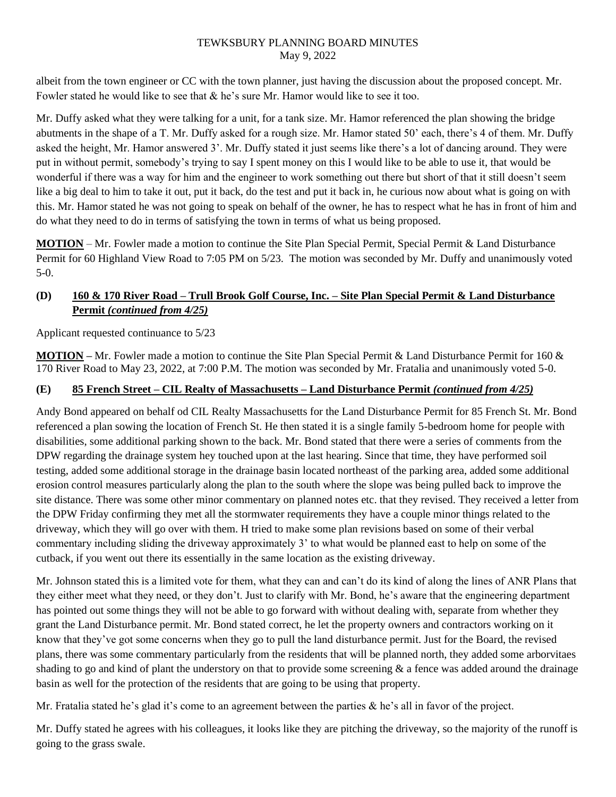albeit from the town engineer or CC with the town planner, just having the discussion about the proposed concept. Mr. Fowler stated he would like to see that & he's sure Mr. Hamor would like to see it too.

Mr. Duffy asked what they were talking for a unit, for a tank size. Mr. Hamor referenced the plan showing the bridge abutments in the shape of a T. Mr. Duffy asked for a rough size. Mr. Hamor stated 50' each, there's 4 of them. Mr. Duffy asked the height, Mr. Hamor answered 3'. Mr. Duffy stated it just seems like there's a lot of dancing around. They were put in without permit, somebody's trying to say I spent money on this I would like to be able to use it, that would be wonderful if there was a way for him and the engineer to work something out there but short of that it still doesn't seem like a big deal to him to take it out, put it back, do the test and put it back in, he curious now about what is going on with this. Mr. Hamor stated he was not going to speak on behalf of the owner, he has to respect what he has in front of him and do what they need to do in terms of satisfying the town in terms of what us being proposed.

**MOTION** – Mr. Fowler made a motion to continue the Site Plan Special Permit, Special Permit & Land Disturbance Permit for 60 Highland View Road to 7:05 PM on 5/23. The motion was seconded by Mr. Duffy and unanimously voted 5-0.

# **(D) 160 & 170 River Road – Trull Brook Golf Course, Inc. – Site Plan Special Permit & Land Disturbance Permit** *(continued from 4/25)*

Applicant requested continuance to 5/23

**MOTION –** Mr. Fowler made a motion to continue the Site Plan Special Permit & Land Disturbance Permit for 160 & 170 River Road to May 23, 2022, at 7:00 P.M. The motion was seconded by Mr. Fratalia and unanimously voted 5-0.

# **(E) 85 French Street – CIL Realty of Massachusetts – Land Disturbance Permit** *(continued from 4/25)*

Andy Bond appeared on behalf od CIL Realty Massachusetts for the Land Disturbance Permit for 85 French St. Mr. Bond referenced a plan sowing the location of French St. He then stated it is a single family 5-bedroom home for people with disabilities, some additional parking shown to the back. Mr. Bond stated that there were a series of comments from the DPW regarding the drainage system hey touched upon at the last hearing. Since that time, they have performed soil testing, added some additional storage in the drainage basin located northeast of the parking area, added some additional erosion control measures particularly along the plan to the south where the slope was being pulled back to improve the site distance. There was some other minor commentary on planned notes etc. that they revised. They received a letter from the DPW Friday confirming they met all the stormwater requirements they have a couple minor things related to the driveway, which they will go over with them. H tried to make some plan revisions based on some of their verbal commentary including sliding the driveway approximately 3' to what would be planned east to help on some of the cutback, if you went out there its essentially in the same location as the existing driveway.

Mr. Johnson stated this is a limited vote for them, what they can and can't do its kind of along the lines of ANR Plans that they either meet what they need, or they don't. Just to clarify with Mr. Bond, he's aware that the engineering department has pointed out some things they will not be able to go forward with without dealing with, separate from whether they grant the Land Disturbance permit. Mr. Bond stated correct, he let the property owners and contractors working on it know that they've got some concerns when they go to pull the land disturbance permit. Just for the Board, the revised plans, there was some commentary particularly from the residents that will be planned north, they added some arborvitaes shading to go and kind of plant the understory on that to provide some screening  $\&$  a fence was added around the drainage basin as well for the protection of the residents that are going to be using that property.

Mr. Fratalia stated he's glad it's come to an agreement between the parties & he's all in favor of the project.

Mr. Duffy stated he agrees with his colleagues, it looks like they are pitching the driveway, so the majority of the runoff is going to the grass swale.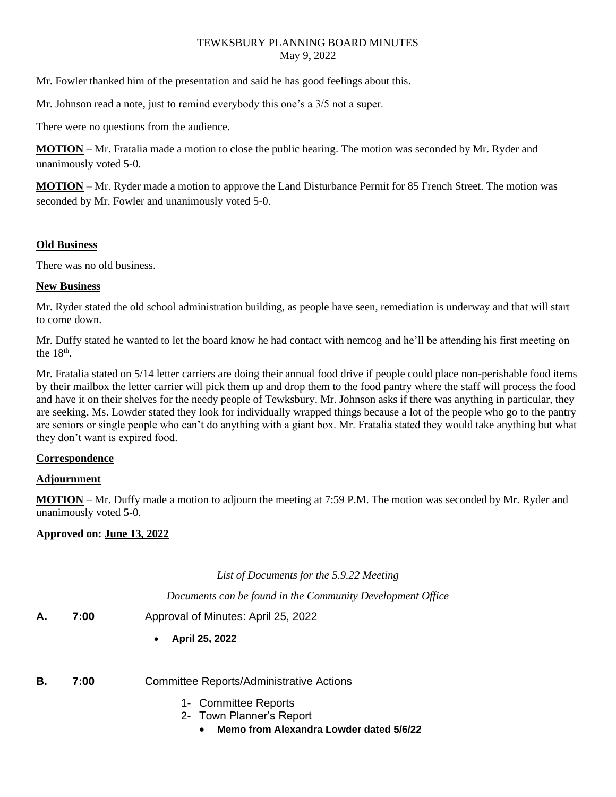Mr. Fowler thanked him of the presentation and said he has good feelings about this.

Mr. Johnson read a note, just to remind everybody this one's a 3/5 not a super.

There were no questions from the audience.

**MOTION –** Mr. Fratalia made a motion to close the public hearing. The motion was seconded by Mr. Ryder and unanimously voted 5-0.

**MOTION** – Mr. Ryder made a motion to approve the Land Disturbance Permit for 85 French Street. The motion was seconded by Mr. Fowler and unanimously voted 5-0.

### **Old Business**

There was no old business.

# **New Business**

Mr. Ryder stated the old school administration building, as people have seen, remediation is underway and that will start to come down.

Mr. Duffy stated he wanted to let the board know he had contact with nemcog and he'll be attending his first meeting on the  $18<sup>th</sup>$ .

Mr. Fratalia stated on 5/14 letter carriers are doing their annual food drive if people could place non-perishable food items by their mailbox the letter carrier will pick them up and drop them to the food pantry where the staff will process the food and have it on their shelves for the needy people of Tewksbury. Mr. Johnson asks if there was anything in particular, they are seeking. Ms. Lowder stated they look for individually wrapped things because a lot of the people who go to the pantry are seniors or single people who can't do anything with a giant box. Mr. Fratalia stated they would take anything but what they don't want is expired food.

# **Correspondence**

# **Adjournment**

**MOTION** – Mr. Duffy made a motion to adjourn the meeting at 7:59 P.M. The motion was seconded by Mr. Ryder and unanimously voted 5-0.

# **Approved on: June 13, 2022**

*List of Documents for the 5.9.22 Meeting*

*Documents can be found in the Community Development Office*

- **A. 7:00** Approval of Minutes: April 25, 2022
	- **April 25, 2022**
- **B. 7:00** Committee Reports/Administrative Actions
	- 1- Committee Reports
	- 2- Town Planner's Report
		- **Memo from Alexandra Lowder dated 5/6/22**